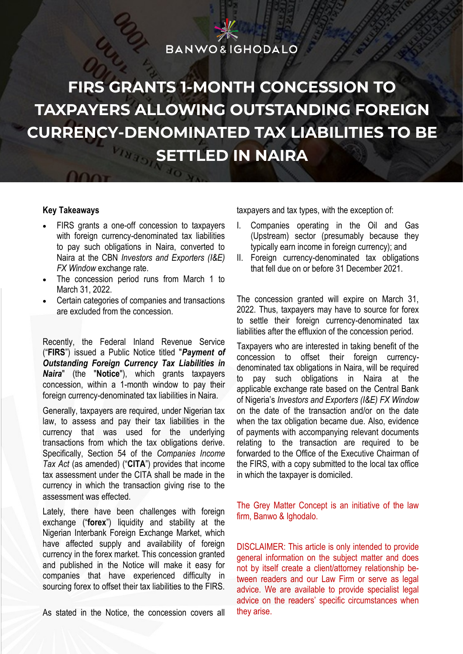### **BANWO&IGHODALO**

# **FIRS GRANTS 1-MONTH CONCESSION TO TAXPAYERS ALLOWING OUTSTANDING FOREIGN CURRENCY-DENOMINATED TAX LIABILITIES TO BE SETTLED IN NAIRA**

#### **Key Takeaways**

• FIRS grants a one-off concession to taxpayers with foreign currency-denominated tax liabilities to pay such obligations in Naira, converted to Naira at the CBN *Investors and Exporters (I&E) FX Window* exchange rate.

Cr. 20

- The concession period runs from March 1 to March 31, 2022.
- Certain categories of companies and transactions are excluded from the concession.

Recently, the Federal Inland Revenue Service ("**FIRS**") issued a Public Notice titled "*Payment of Outstanding Foreign Currency Tax Liabilities in Naira*" (the "**Notice**"), which grants taxpayers concession, within a 1-month window to pay their foreign currency-denominated tax liabilities in Naira.

Generally, taxpayers are required, under Nigerian tax law, to assess and pay their tax liabilities in the currency that was used for the underlying transactions from which the tax obligations derive. Specifically, Section 54 of the *Companies Income Tax Act* (as amended) ("**CITA**") provides that income tax assessment under the CITA shall be made in the currency in which the transaction giving rise to the assessment was effected.

Lately, there have been challenges with foreign exchange ("**forex**") liquidity and stability at the Nigerian Interbank Foreign Exchange Market, which have affected supply and availability of foreign currency in the forex market. This concession granted and published in the Notice will make it easy for companies that have experienced difficulty in sourcing forex to offset their tax liabilities to the FIRS.

As stated in the Notice, the concession covers all

taxpayers and tax types, with the exception of:

- I. Companies operating in the Oil and Gas (Upstream) sector (presumably because they typically earn income in foreign currency); and
- II. Foreign currency-denominated tax obligations that fell due on or before 31 December 2021.

The concession granted will expire on March 31, 2022. Thus, taxpayers may have to source for forex to settle their foreign currency-denominated tax liabilities after the effluxion of the concession period.

Taxpayers who are interested in taking benefit of the concession to offset their foreign currencydenominated tax obligations in Naira, will be required to pay such obligations in Naira at the applicable exchange rate based on the Central Bank of Nigeria's *Investors and Exporters (I&E) FX Window* on the date of the transaction and/or on the date when the tax obligation became due. Also, evidence of payments with accompanying relevant documents relating to the transaction are required to be forwarded to the Office of the Executive Chairman of the FIRS, with a copy submitted to the local tax office in which the taxpayer is domiciled.

The Grey Matter Concept is an initiative of the law firm, Banwo & Ighodalo.

DISCLAIMER: This article is only intended to provide general information on the subject matter and does not by itself create a client/attorney relationship between readers and our Law Firm or serve as legal advice. We are available to provide specialist legal advice on the readers' specific circumstances when they arise.